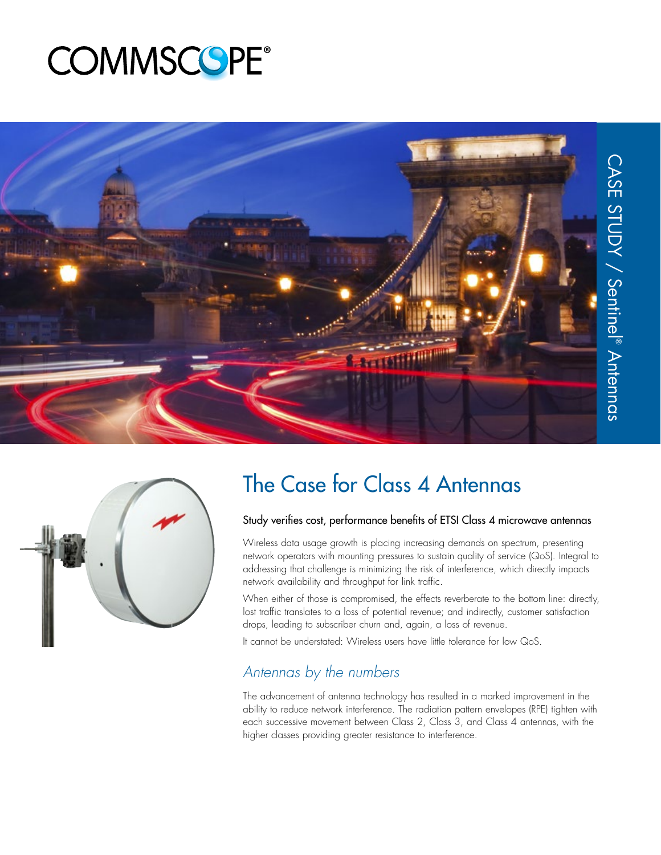# **COMMSCOPE®**





# The Case for Class 4 Antennas

#### Study verifies cost, performance benefits of ETSI Class 4 microwave antennas

Wireless data usage growth is placing increasing demands on spectrum, presenting network operators with mounting pressures to sustain quality of service (QoS). Integral to addressing that challenge is minimizing the risk of interference, which directly impacts network availability and throughput for link traffic.

When either of those is compromised, the effects reverberate to the bottom line: directly, lost traffic translates to a loss of potential revenue; and indirectly, customer satisfaction drops, leading to subscriber churn and, again, a loss of revenue.

It cannot be understated: Wireless users have little tolerance for low QoS.

## Antennas by the numbers

The advancement of antenna technology has resulted in a marked improvement in the ability to reduce network interference. The radiation pattern envelopes (RPE) tighten with each successive movement between Class 2, Class 3, and Class 4 antennas, with the higher classes providing greater resistance to interference.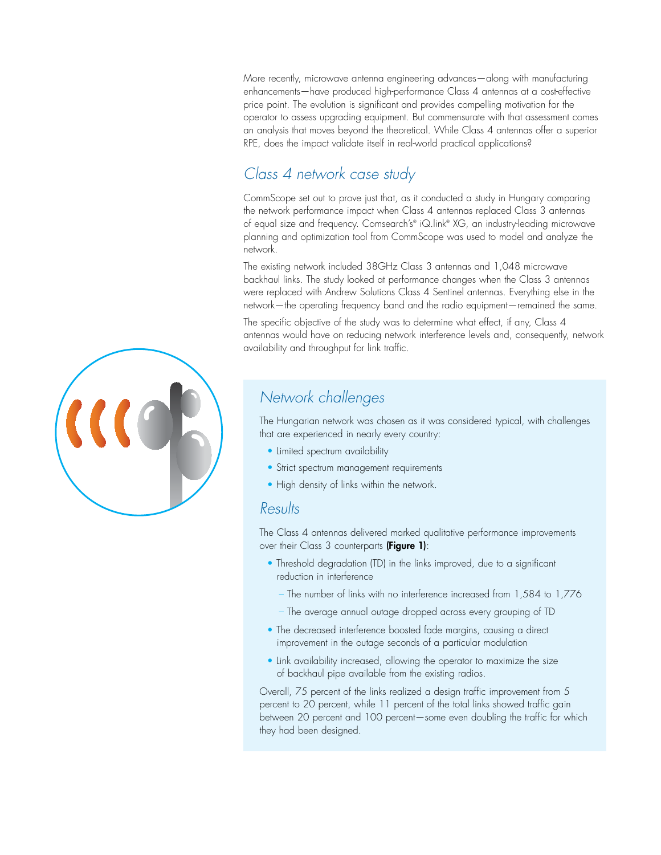More recently, microwave antenna engineering advances—along with manufacturing enhancements—have produced high-performance Class 4 antennas at a cost-effective price point. The evolution is significant and provides compelling motivation for the operator to assess upgrading equipment. But commensurate with that assessment comes an analysis that moves beyond the theoretical. While Class 4 antennas offer a superior RPE, does the impact validate itself in real-world practical applications?

### Class 4 network case study

CommScope set out to prove just that, as it conducted a study in Hungary comparing the network performance impact when Class 4 antennas replaced Class 3 antennas of equal size and frequency. Comsearch's® iQ.link® XG, an industry-leading microwave planning and optimization tool from CommScope was used to model and analyze the network.

The existing network included 38GHz Class 3 antennas and 1,048 microwave backhaul links. The study looked at performance changes when the Class 3 antennas were replaced with Andrew Solutions Class 4 Sentinel antennas. Everything else in the network—the operating frequency band and the radio equipment—remained the same.

The specific objective of the study was to determine what effect, if any, Class 4 antennas would have on reducing network interference levels and, consequently, network availability and throughput for link traffic.

#### Network challenges

The Hungarian network was chosen as it was considered typical, with challenges that are experienced in nearly every country:

- Limited spectrum availability
- Strict spectrum management requirements
- High density of links within the network.

#### Results

The Class 4 antennas delivered marked qualitative performance improvements over their Class 3 counterparts (Figure 1):

- Threshold degradation (TD) in the links improved, due to a significant reduction in interference
	- The number of links with no interference increased from 1,584 to 1,776
	- The average annual outage dropped across every grouping of TD
- The decreased interference boosted fade margins, causing a direct improvement in the outage seconds of a particular modulation
- Link availability increased, allowing the operator to maximize the size of backhaul pipe available from the existing radios.

Overall, 75 percent of the links realized a design traffic improvement from 5 percent to 20 percent, while 11 percent of the total links showed traffic gain between 20 percent and 100 percent—some even doubling the traffic for which they had been designed.